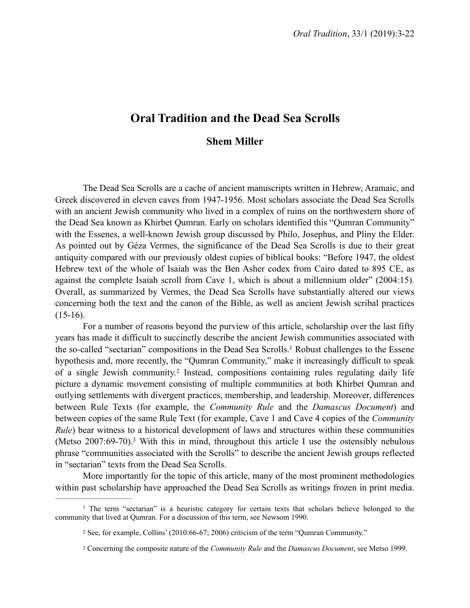# **Oral Tradition and the Dead Sea Scrolls**

## <span id="page-0-3"></span>**Shem Miller**

The Dead Sea Scrolls are a cache of ancient manuscripts written in Hebrew, Aramaic, and Greek discovered in eleven caves from 1947-1956. Most scholars associate the Dead Sea Scrolls with an ancient Jewish community who lived in a complex of ruins on the northwestern shore of the Dead Sea known as Khirbet Qumran. Early on scholars identified this "Qumran Community" with the Essenes, a well-known Jewish group discussed by Philo, Josephus, and Pliny the Elder. As pointed out by Géza Vermes, the significance of the Dead Sea Scrolls is due to their great antiquity compared with our previously oldest copies of biblical books: "Before 1947, the oldest Hebrew text of the whole of Isaiah was the Ben Asher codex from Cairo dated to 895 CE, as against the complete Isaiah scroll from Cave 1, which is about a millennium older" (2004:15). Overall, as summarized by Vermes, the Dead Sea Scrolls have substantially altered our views concerning both the text and the canon of the Bible, as well as ancient Jewish scribal practices  $(15-16)$ .

<span id="page-0-4"></span>For a number of reasons beyond the purview of this article, scholarship over the last fifty years has made it difficult to succinctly describe the ancient Jewish communities associated with the so-called "sectarian" compositions in the Dead Sea Scrolls[.](#page-0-0)<sup>[1](#page-0-0)</sup> Robust challenges to the Essene hypothesis and, more recently, the "Qumran Community," make it increasingly difficult to speak ofa single Jewish community.<sup>[2](#page-0-1)</sup> Instead, compositions containing rules regulating daily life picture a dynamic movement consisting of multiple communities at both Khirbet Qumran and outlying settlements with divergent practices, membership, and leadership. Moreover, differences between Rule Texts (for example, the *Community Rule* and the *Damascus Document*) and between copies of the same Rule Text (for example, Cave 1 and Cave 4 copies of the *Community Rule*) bear witness to a historical development of laws and structures within these communities (Metso  $2007:69-70$ )[.](#page-0-2)<sup>[3](#page-0-2)</sup> With this in mind, throughout this article I use the ostensibly nebulous phrase "communities associated with the Scrolls" to describe the ancient Jewish groups reflected in "sectarian" texts from the Dead Sea Scrolls.

<span id="page-0-5"></span>More importantly for the topic of this article, many of the most prominent methodologies within past scholarship have approached the Dead Sea Scrolls as writings frozen in print media.

<sup>&</sup>lt;sup>[1](#page-0-3)</sup> The term "sectarian" is a heuristic category for certain texts that scholars believe belonged to the community that lived at Qumran. For a discussion of this term, see Newsom 1990.

<span id="page-0-1"></span><span id="page-0-0"></span>[<sup>2</sup>](#page-0-4) See, for example, Collins' (2010:66-67; 2006) criticism of the term "Qumran Community."

<span id="page-0-2"></span><sup>&</sup>lt;sup>[3](#page-0-5)</sup> Concerning the composite nature of the *Community Rule* and the *Damascus Document*, see Metso 1999.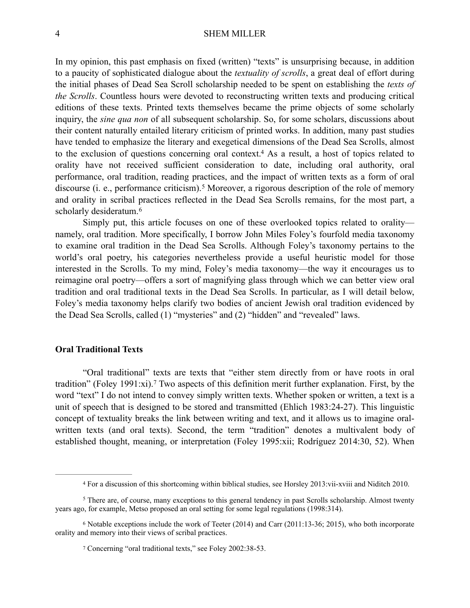In my opinion, this past emphasis on fixed (written) "texts" is unsurprising because, in addition to a paucity of sophisticated dialogue about the *textuality of scrolls*, a great deal of effort during the initial phases of Dead Sea Scroll scholarship needed to be spent on establishing the *texts of the Scrolls*. Countless hours were devoted to reconstructing written texts and producing critical editions of these texts. Printed texts themselves became the prime objects of some scholarly inquiry, the *sine qua non* of all subsequent scholarship. So, for some scholars, discussions about their content naturally entailed literary criticism of printed works. In addition, many past studies have tended to emphasize the literary and exegetical dimensions of the Dead Sea Scrolls, almost to the exclusion of questions concerning oral context[.](#page-1-0)<sup>[4](#page-1-0)</sup> As a result, a host of topics related to orality have not received sufficient consideration to date, including oral authority, oral performance, oral tradition, reading practices, and the impact of written texts as a form of oral discourse(i. e., performance criticism).<sup>[5](#page-1-1)</sup> Moreover, a rigorous description of the role of memory and orality in scribal practices reflected in the Dead Sea Scrolls remains, for the most part, a scholarly desideratum.<sup>[6](#page-1-2)</sup>

<span id="page-1-6"></span><span id="page-1-5"></span><span id="page-1-4"></span>Simply put, this article focuses on one of these overlooked topics related to orality namely, oral tradition. More specifically, I borrow John Miles Foley's fourfold media taxonomy to examine oral tradition in the Dead Sea Scrolls. Although Foley's taxonomy pertains to the world's oral poetry, his categories nevertheless provide a useful heuristic model for those interested in the Scrolls. To my mind, Foley's media taxonomy—the way it encourages us to reimagine oral poetry—offers a sort of magnifying glass through which we can better view oral tradition and oral traditional texts in the Dead Sea Scrolls. In particular, as I will detail below, Foley's media taxonomy helps clarify two bodies of ancient Jewish oral tradition evidenced by the Dead Sea Scrolls, called (1) "mysteries" and (2) "hidden" and "revealed" laws.

#### **Oral Traditional Texts**

<span id="page-1-7"></span>"Oral traditional" texts are texts that "either stem directly from or have roots in oral tradition"(Foley 1991:xi).<sup>[7](#page-1-3)</sup> Two aspects of this definition merit further explanation. First, by the word "text" I do not intend to convey simply written texts. Whether spoken or written, a text is a unit of speech that is designed to be stored and transmitted (Ehlich 1983:24-27). This linguistic concept of textuality breaks the link between writing and text, and it allows us to imagine oralwritten texts (and oral texts). Second, the term "tradition" denotes a multivalent body of established thought, meaning, or interpretation (Foley 1995:xii; Rodríguez 2014:30, 52). When

<span id="page-1-1"></span><span id="page-1-0"></span>For a discussion of this shortcoming within biblical studies, see Horsley 2013:vii-xviii and Niditch 2010. [4](#page-1-4)

<sup>&</sup>lt;sup>[5](#page-1-5)</sup> There are, of course, many exceptions to this general tendency in past Scrolls scholarship. Almost twenty years ago, for example, Metso proposed an oral setting for some legal regulations (1998:314).

 $6$  Notable exceptions include the work of Teeter (2014) and Carr (2011:13-36; 2015), who both incorporate orality and memory into their views of scribal practices.

<span id="page-1-3"></span><span id="page-1-2"></span>Concerning "oral traditional texts," see Foley 2002:38-53. [7](#page-1-7)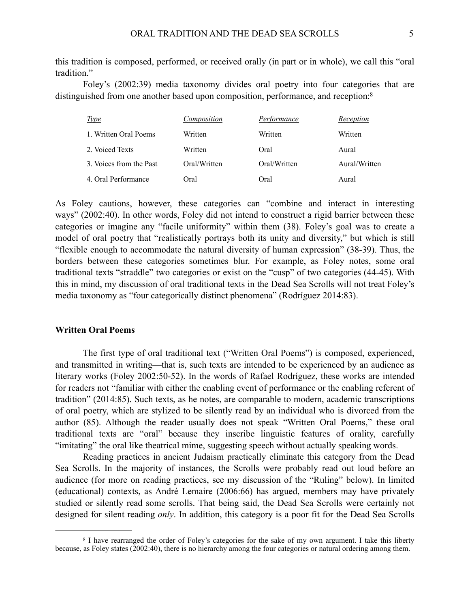this tradition is composed, performed, or received orally (in part or in whole), we call this "oral tradition."

Foley's (2002:39) media taxonomy divides oral poetry into four categories that are distinguished from one another based upon composition, performance, and reception[:8](#page-2-0)

<span id="page-2-1"></span>

| <u>Type</u>             | Composition  | Performance  | Reception     |
|-------------------------|--------------|--------------|---------------|
| 1. Written Oral Poems   | Written      | Written      | Written       |
| 2. Voiced Texts         | Written      | Oral         | Aural         |
| 3. Voices from the Past | Oral/Written | Oral/Written | Aural/Written |
| 4. Oral Performance     | Oral         | Oral         | Aural         |

As Foley cautions, however, these categories can "combine and interact in interesting ways" (2002:40). In other words, Foley did not intend to construct a rigid barrier between these categories or imagine any "facile uniformity" within them (38). Foley's goal was to create a model of oral poetry that "realistically portrays both its unity and diversity," but which is still "flexible enough to accommodate the natural diversity of human expression" (38-39). Thus, the borders between these categories sometimes blur. For example, as Foley notes, some oral traditional texts "straddle" two categories or exist on the "cusp" of two categories (44-45). With this in mind, my discussion of oral traditional texts in the Dead Sea Scrolls will not treat Foley's media taxonomy as "four categorically distinct phenomena" (Rodríguez 2014:83).

#### **Written Oral Poems**

The first type of oral traditional text ("Written Oral Poems") is composed, experienced, and transmitted in writing—that is, such texts are intended to be experienced by an audience as literary works (Foley 2002:50-52). In the words of Rafael Rodríguez, these works are intended for readers not "familiar with either the enabling event of performance or the enabling referent of tradition" (2014:85). Such texts, as he notes, are comparable to modern, academic transcriptions of oral poetry, which are stylized to be silently read by an individual who is divorced from the author (85). Although the reader usually does not speak "Written Oral Poems," these oral traditional texts are "oral" because they inscribe linguistic features of orality, carefully "imitating" the oral like theatrical mime, suggesting speech without actually speaking words.

Reading practices in ancient Judaism practically eliminate this category from the Dead Sea Scrolls. In the majority of instances, the Scrolls were probably read out loud before an audience (for more on reading practices, see my discussion of the "Ruling" below). In limited (educational) contexts, as André Lemaire (2006:66) has argued, members may have privately studied or silently read some scrolls. That being said, the Dead Sea Scrolls were certainly not designed for silent reading *only*. In addition, this category is a poor fit for the Dead Sea Scrolls

<span id="page-2-0"></span><sup>&</sup>lt;sup>[8](#page-2-1)</sup> I have rearranged the order of Foley's categories for the sake of my own argument. I take this liberty because, as Foley states (2002:40), there is no hierarchy among the four categories or natural ordering among them.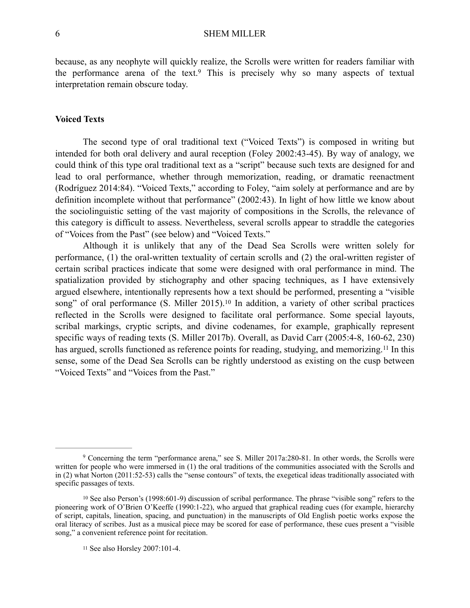<span id="page-3-3"></span>because, as any neophyte will quickly realize, the Scrolls were written for readers familiar with theperformance arena of the text.<sup>[9](#page-3-0)</sup> This is precisely why so many aspects of textual interpretation remain obscure today.

## **Voiced Texts**

The second type of oral traditional text ("Voiced Texts") is composed in writing but intended for both oral delivery and aural reception (Foley 2002:43-45). By way of analogy, we could think of this type oral traditional text as a "script" because such texts are designed for and lead to oral performance, whether through memorization, reading, or dramatic reenactment (Rodríguez 2014:84). "Voiced Texts," according to Foley, "aim solely at performance and are by definition incomplete without that performance" (2002:43). In light of how little we know about the sociolinguistic setting of the vast majority of compositions in the Scrolls, the relevance of this category is difficult to assess. Nevertheless, several scrolls appear to straddle the categories of "Voices from the Past" (see below) and "Voiced Texts."

<span id="page-3-5"></span><span id="page-3-4"></span>Although it is unlikely that any of the Dead Sea Scrolls were written solely for performance, (1) the oral-written textuality of certain scrolls and (2) the oral-written register of certain scribal practices indicate that some were designed with oral performance in mind. The spatialization provided by stichography and other spacing techniques, as I have extensively argued elsewhere, intentionally represents how a text should be performed, presenting a "visible song" of oral performance  $(S.$  Miller 2015).<sup>[10](#page-3-1)</sup> In addition, a variety of other scribal practices reflected in the Scrolls were designed to facilitate oral performance. Some special layouts, scribal markings, cryptic scripts, and divine codenames, for example, graphically represent specific ways of reading texts (S. Miller 2017b). Overall, as David Carr (2005:4-8, 160-62, 230) hasargued, scrolls functioned as reference points for reading, studying, and memorizing.<sup>[11](#page-3-2)</sup> In this sense, some of the Dead Sea Scrolls can be rightly understood as existing on the cusp between "Voiced Texts" and "Voices from the Past."

<span id="page-3-0"></span><sup>&</sup>lt;sup>[9](#page-3-3)</sup> Concerning the term "performance arena," see S. Miller 2017a:280-81. In other words, the Scrolls were written for people who were immersed in (1) the oral traditions of the communities associated with the Scrolls and in (2) what Norton (2011:52-53) calls the "sense contours" of texts, the exegetical ideas traditionally associated with specific passages of texts.

<span id="page-3-1"></span><sup>&</sup>lt;sup>10</sup>See also Person's (1998:601-9) discussion of scribal performance. The phrase "visible song" refers to the pioneering work of O'Brien O'Keeffe (1990:1-22), who argued that graphical reading cues (for example, hierarchy of script, capitals, lineation, spacing, and punctuation) in the manuscripts of Old English poetic works expose the oral literacy of scribes. Just as a musical piece may be scored for ease of performance, these cues present a "visible song," a convenient reference point for recitation.

<span id="page-3-2"></span><sup>&</sup>lt;sup>[11](#page-3-5)</sup> See also Horsley 2007:101-4.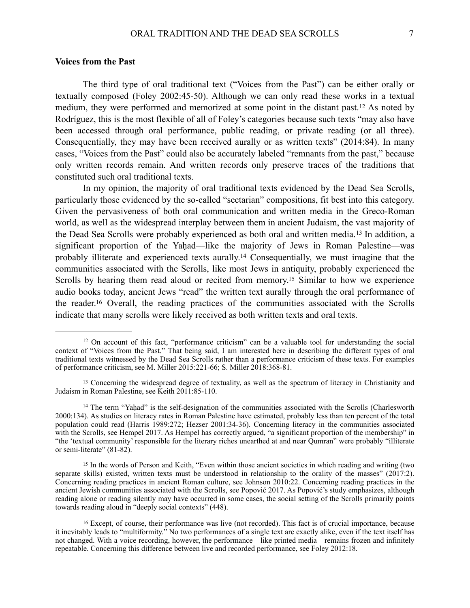#### **Voices from the Past**

<span id="page-4-5"></span>The third type of oral traditional text ("Voices from the Past") can be either orally or textually composed (Foley 2002:45-50). Although we can only read these works in a textual medium,they were performed and memorized at some point in the distant past.<sup>[12](#page-4-0)</sup> As noted by Rodríguez, this is the most flexible of all of Foley's categories because such texts "may also have been accessed through oral performance, public reading, or private reading (or all three). Consequentially, they may have been received aurally or as written texts" (2014:84). In many cases, "Voices from the Past" could also be accurately labeled "remnants from the past," because only written records remain. And written records only preserve traces of the traditions that constituted such oral traditional texts.

<span id="page-4-7"></span><span id="page-4-6"></span>In my opinion, the majority of oral traditional texts evidenced by the Dead Sea Scrolls, particularly those evidenced by the so-called "sectarian" compositions, fit best into this category. Given the pervasiveness of both oral communication and written media in the Greco-Roman world, as well as the widespread interplay between them in ancient Judaism, the vast majority of theDead Sea Scrolls were probably experienced as both oral and written media.<sup>[13](#page-4-1)</sup> In addition, a significant proportion of the Yahad—like the majority of Jews in Roman Palestine—was probably illiterate and experienced texts aurally[.](#page-4-2)<sup>[14](#page-4-2)</sup> Consequentially, we must imagine that the communities associated with the Scrolls, like most Jews in antiquity, probably experienced the Scrolls by hearing them read aloud or recited from memory[.](#page-4-3)<sup>[15](#page-4-3)</sup> Similar to how we experience audio books today, ancient Jews "read" the written text aurally through the oral performance of the reader[.](#page-4-4)<sup>[16](#page-4-4)</sup> Overall, the reading practices of the communities associated with the Scrolls indicate that many scrolls were likely received as both written texts and oral texts.

<span id="page-4-9"></span><span id="page-4-8"></span><span id="page-4-0"></span><sup>&</sup>lt;sup>12</sup>On account of this fact, "performance criticism" can be a valuable tool for understanding the social context of "Voices from the Past." That being said, I am interested here in describing the different types of oral traditional texts witnessed by the Dead Sea Scrolls rather than a performance criticism of these texts. For examples of performance criticism, see M. Miller 2015:221-66; S. Miller 2018:368-81.

<span id="page-4-1"></span><sup>&</sup>lt;sup>13</sup>Concerning the widespread degree of textuality, as well as the spectrum of literacy in Christianity and Judaism in Roman Palestine, see Keith 2011:85-110.

<span id="page-4-2"></span> $14$  The term "Yahad" is the self-designation of the communities associated with the Scrolls (Charlesworth 2000:134). As studies on literacy rates in Roman Palestine have estimated, probably less than ten percent of the total population could read (Harris 1989:272; Hezser 2001:34-36). Concerning literacy in the communities associated with the Scrolls, see Hempel 2017. As Hempel has correctly argued, "a significant proportion of the membership" in "the 'textual community' responsible for the literary riches unearthed at and near Qumran" were probably "illiterate or semi-literate" (81-82).

<span id="page-4-3"></span><sup>&</sup>lt;sup>15</sup>In the words of Person and Keith, "Even within those ancient societies in which reading and writing (two separate skills) existed, written texts must be understood in relationship to the orality of the masses" (2017:2). Concerning reading practices in ancient Roman culture, see Johnson 2010:22. Concerning reading practices in the ancient Jewish communities associated with the Scrolls, see Popović 2017. As Popović's study emphasizes, although reading alone or reading silently may have occurred in some cases, the social setting of the Scrolls primarily points towards reading aloud in "deeply social contexts" (448).

<span id="page-4-4"></span><sup>&</sup>lt;sup>16</sup>Except, of course, their performance was live (not recorded). This fact is of crucial importance, because it inevitably leads to "multiformity." No two performances of a single text are exactly alike, even if the text itself has not changed. With a voice recording, however, the performance—like printed media—remains frozen and infinitely repeatable. Concerning this difference between live and recorded performance, see Foley 2012:18.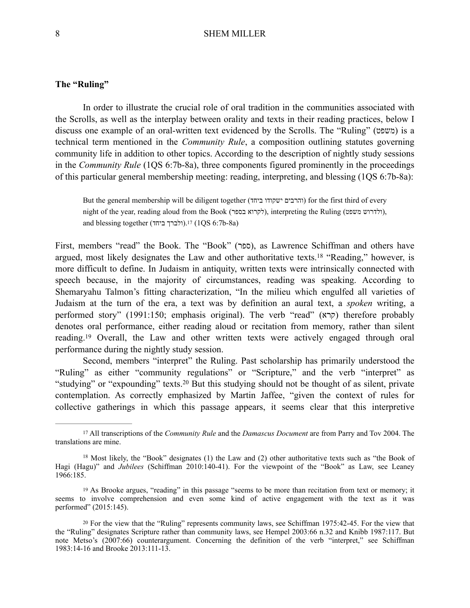## **The "Ruling"**

In order to illustrate the crucial role of oral tradition in the communities associated with the Scrolls, as well as the interplay between orality and texts in their reading practices, below I discuss one example of an oral-written text evidenced by the Scrolls. The "Ruling" (משפט) is a technical term mentioned in the *Community Rule*, a composition outlining statutes governing community life in addition to other topics. According to the description of nightly study sessions in the *Community Rule* (1QS 6:7b-8a), three components figured prominently in the proceedings of this particular general membership meeting: reading, interpreting, and blessing (1QS 6:7b-8a):

<span id="page-5-5"></span><span id="page-5-4"></span>But the general membership will be diligent together (והרבים ישקודו ביחד) for the first third of every night of the year, reading aloud from the Book (לקרוא בספר), interpreting the Ruling (להרוש משפט), and blessing together (ולברך ביחד)[.](#page-5-0)<sup>17</sup>(1QS 6:7b-8a)

First, members "read" the Book. The "Book" (ספר), as Lawrence Schiffman and others have argued,most likely designates the Law and other authoritative texts.<sup>[18](#page-5-1)</sup> "Reading," however, is more difficult to define. In Judaism in antiquity, written texts were intrinsically connected with speech because, in the majority of circumstances, reading was speaking. According to Shemaryahu Talmon's fitting characterization, "In the milieu which engulfed all varieties of Judaism at the turn of the era, a text was by definition an aural text, a *spoken* writing, a performed story" (1991:150; emphasis original). The verb "read" (קרא) therefore probably denotes oral performance, either reading aloud or recitation from memory, rather than silent reading.<sup>19</sup>Overall, the Law and other written texts were actively engaged through oral performance during the nightly study session.

<span id="page-5-7"></span><span id="page-5-6"></span>Second, members "interpret" the Ruling. Past scholarship has primarily understood the "Ruling" as either "community regulations" or "Scripture," and the verb "interpret" as "studying"or "expounding" texts.<sup>[20](#page-5-3)</sup> But this studying should not be thought of as silent, private contemplation. As correctly emphasized by Martin Jaffee, "given the context of rules for collective gatherings in which this passage appears, it seems clear that this interpretive

<span id="page-5-0"></span><sup>&</sup>lt;sup>[17](#page-5-4)</sup> All transcriptions of the *Community Rule* and the *Damascus Document* are from Parry and Toy 2004. The translations are mine.

<span id="page-5-1"></span> $^{18}$  $^{18}$  $^{18}$ Most likely, the "Book" designates (1) the Law and (2) other authoritative texts such as "the Book of Hagi (Hagu)" and *Jubilees* (Schiffman 2010:140-41). For the viewpoint of the "Book" as Law, see Leaney 1966:185.

<span id="page-5-2"></span><sup>&</sup>lt;sup>19</sup>As Brooke argues, "reading" in this passage "seems to be more than recitation from text or memory; it seems to involve comprehension and even some kind of active engagement with the text as it was performed" (2015:145).

<span id="page-5-3"></span><sup>&</sup>lt;sup>20</sup>For the view that the "Ruling" represents community laws, see Schiffman 1975:42-45. For the view that the "Ruling" designates Scripture rather than community laws, see Hempel 2003:66 n.32 and Knibb 1987:117. But note Metso's (2007:66) counterargument. Concerning the definition of the verb "interpret," see Schiffman 1983:14-16 and Brooke 2013:111-13.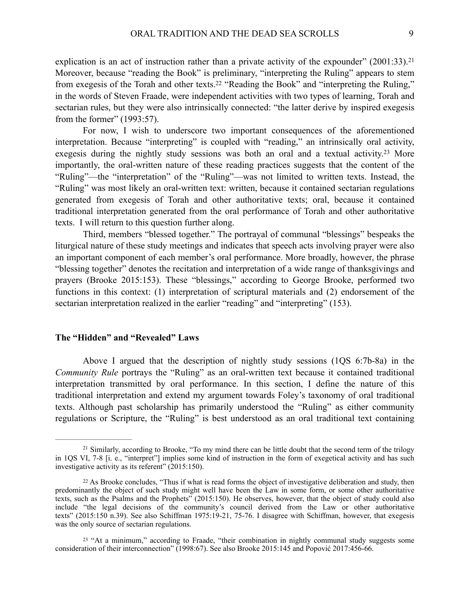<span id="page-6-4"></span><span id="page-6-3"></span>explication is an act of instruction rather than a private activity of the expounder"  $(2001:33).^{21}$  $(2001:33).^{21}$  $(2001:33).^{21}$ Moreover, because "reading the Book" is preliminary, "interpreting the Ruling" appears to stem from exegesis of the Torah and other texts[.](#page-6-1)<sup>[22](#page-6-1)</sup> "Reading the Book" and "interpreting the Ruling," in the words of Steven Fraade, were independent activities with two types of learning, Torah and sectarian rules, but they were also intrinsically connected: "the latter derive by inspired exegesis from the former" (1993:57).

<span id="page-6-5"></span>For now, I wish to underscore two important consequences of the aforementioned interpretation. Because "interpreting" is coupled with "reading," an intrinsically oral activity, exegesisduring the nightly study sessions was both an oral and a textual activity.<sup>[23](#page-6-2)</sup> More importantly, the oral-written nature of these reading practices suggests that the content of the "Ruling"—the "interpretation" of the "Ruling"—was not limited to written texts. Instead, the "Ruling" was most likely an oral-written text: written, because it contained sectarian regulations generated from exegesis of Torah and other authoritative texts; oral, because it contained traditional interpretation generated from the oral performance of Torah and other authoritative texts. I will return to this question further along.

Third, members "blessed together." The portrayal of communal "blessings" bespeaks the liturgical nature of these study meetings and indicates that speech acts involving prayer were also an important component of each member's oral performance. More broadly, however, the phrase "blessing together" denotes the recitation and interpretation of a wide range of thanksgivings and prayers (Brooke 2015:153). These "blessings," according to George Brooke, performed two functions in this context: (1) interpretation of scriptural materials and (2) endorsement of the sectarian interpretation realized in the earlier "reading" and "interpreting" (153).

## **The "Hidden" and "Revealed" Laws**

Above I argued that the description of nightly study sessions (1QS 6:7b-8a) in the *Community Rule* portrays the "Ruling" as an oral-written text because it contained traditional interpretation transmitted by oral performance. In this section, I define the nature of this traditional interpretation and extend my argument towards Foley's taxonomy of oral traditional texts. Although past scholarship has primarily understood the "Ruling" as either community regulations or Scripture, the "Ruling" is best understood as an oral traditional text containing

<span id="page-6-0"></span> $21$ Similarly, according to Brooke, "To my mind there can be little doubt that the second term of the trilogy in 1QS VI, 7-8 [i. e., "interpret"] implies some kind of instruction in the form of exegetical activity and has such investigative activity as its referent" (2015:150).

<span id="page-6-1"></span><sup>&</sup>lt;sup>22</sup>As Brooke concludes, "Thus if what is read forms the object of investigative deliberation and study, then predominantly the object of such study might well have been the Law in some form, or some other authoritative texts, such as the Psalms and the Prophets" (2015:150). He observes, however, that the object of study could also include "the legal decisions of the community's council derived from the Law or other authoritative texts" (2015:150 n.39). See also Schiffman 1975:19-21, 75-76. I disagree with Schiffman, however, that exegesis was the only source of sectarian regulations.

<span id="page-6-2"></span><sup>&</sup>lt;sup>23</sup>"At a minimum," according to Fraade, "their combination in nightly communal study suggests some consideration of their interconnection" (1998:67). See also Brooke 2015:145 and Popović 2017:456-66.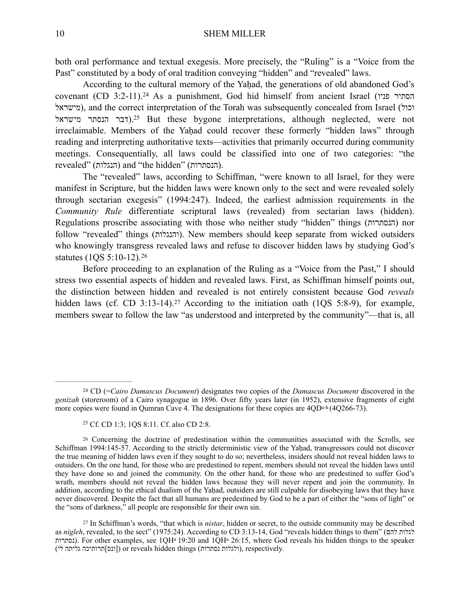both oral performance and textual exegesis. More precisely, the "Ruling" is a "Voice from the Past" constituted by a body of oral tradition conveying "hidden" and "revealed" laws.

<span id="page-7-5"></span><span id="page-7-4"></span>According to the cultural memory of the Yahad, the generations of old abandoned God's covenant(CD 3:2-11).<sup>24</sup> As a punishment, God hid himself from ancient Israel (הסתיר פניו מישראל(, and the correct interpretation of the Torah was subsequently concealed from Israel (וכול דבר הנסתר מישראל)[.](#page-7-1)<sup>25</sup> But these bygone interpretations, although neglected, were not irreclaimable. Members of the Yaḥad could recover these formerly "hidden laws" through reading and interpreting authoritative texts—activities that primarily occurred during community meetings. Consequentially, all laws could be classified into one of two categories: "the revealed" (הנגלות) and "the hidden" (הנסתרות).

The "revealed" laws, according to Schiffman, "were known to all Israel, for they were manifest in Scripture, but the hidden laws were known only to the sect and were revealed solely through sectarian exegesis" (1994:247). Indeed, the earliest admission requirements in the *Community Rule* differentiate scriptural laws (revealed) from sectarian laws (hidden). Regulations proscribe associating with those who neither study "hidden" things (הנסתרות) nor follow "revealed" things (והנגלות). New members should keep separate from wicked outsiders who knowingly transgress revealed laws and refuse to discover hidden laws by studying God's statutes (1QS 5:10-12).[26](#page-7-2)

<span id="page-7-7"></span><span id="page-7-6"></span>Before proceeding to an explanation of the Ruling as a "Voice from the Past," I should stress two essential aspects of hidden and revealed laws. First, as Schiffman himself points out, the distinction between hidden and revealed is not entirely consistent because God *reveals* hiddenlaws (cf. CD 3:13-14).<sup>[27](#page-7-3)</sup> According to the initiation oath (1QS 5:8-9), for example, members swear to follow the law "as understood and interpreted by the community"—that is, all

<span id="page-7-0"></span>CD (=*Cairo Damascus Document*) designates two copies of the *Damascus Document* discovered in the [24](#page-7-4) *genizah* (storeroom) of a Cairo synagogue in 1896. Over fifty years later (in 1952), extensive fragments of eight more copies were found in Qumran Cave 4. The designations for these copies are 4QDa-h (4Q266-73).

<span id="page-7-2"></span><span id="page-7-1"></span><sup>&</sup>lt;sup>[25](#page-7-5)</sup> Cf. CD 1:3; 1OS 8:11. Cf. also CD 2:8.

<sup>&</sup>lt;sup>26</sup>Concerning the doctrine of predestination within the communities associated with the Scrolls, see Schiffman 1994:145-57. According to the strictly deterministic view of the Yaḥad, transgressors could not discover the true meaning of hidden laws even if they sought to do so; nevertheless, insiders should not reveal hidden laws to outsiders. On the one hand, for those who are predestined to repent, members should not reveal the hidden laws until they have done so and joined the community. On the other hand, for those who are predestined to suffer God's wrath, members should not reveal the hidden laws because they will never repent and join the community. In addition, according to the ethical dualism of the Yahad, outsiders are still culpable for disobeying laws that they have never discovered. Despite the fact that all humans are predestined by God to be a part of either the "sons of light" or the "sons of darkness," all people are responsible for their own sin.

<span id="page-7-3"></span><sup>&</sup>lt;sup>[27](#page-7-7)</sup> In Schiffman's words, "that which is *nistar*, hidden or secret, to the outside community may be described as *nigleh*, revealed, to the sect" (1975:24). According to CD 3:13-14, God "reveals hidden things to them" (להם לגלות נסתרות(. For other examples, see 1QHa 19:20 and 1QHa 26:15, where God reveals his hidden things to the speaker (ולגלות נסתרות) or reveals hidden things (ולגלות נסתרות), respectively.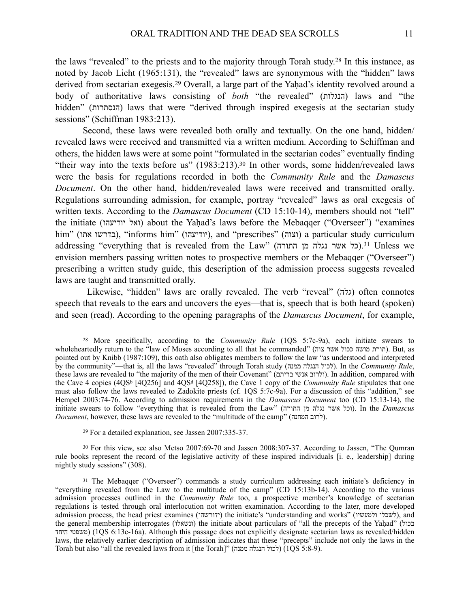<span id="page-8-5"></span><span id="page-8-4"></span>thelaws "revealed" to the priests and to the majority through Torah study.<sup>[28](#page-8-0)</sup> In this instance, as noted by Jacob Licht (1965:131), the "revealed" laws are synonymous with the "hidden" laws derivedfrom sectarian exegesis.<sup>29</sup> Overall, a large part of the Yaḥad's identity revolved around a body of authoritative laws consisting of *both* "the revealed" (הנגלות) laws and "the hidden" (הנסתרות) laws that were "derived through inspired exegesis at the sectarian study sessions" (Schiffman 1983:213).

<span id="page-8-6"></span>Second, these laws were revealed both orally and textually. On the one hand, hidden/ revealed laws were received and transmitted via a written medium. According to Schiffman and others, the hidden laws were at some point "formulated in the sectarian codes" eventually finding "their way into the texts before us"  $(1983:213).^{30}$  $(1983:213).^{30}$  $(1983:213).^{30}$  $(1983:213).^{30}$  $(1983:213).^{30}$  In other words, some hidden/revealed laws were the basis for regulations recorded in both the *Community Rule* and the *Damascus Document*. On the other hand, hidden/revealed laws were received and transmitted orally. Regulations surrounding admission, for example, portray "revealed" laws as oral exegesis of written texts. According to the *Damascus Document* (CD 15:10-14), members should not "tell" the initiate (ואל יודיעהו) about the Yahad's laws before the Mebaqqer ("Overseer") "examines him" (בדרשו אתו), "informs him" (יודיעהו), and "prescribes" (וצוה) a particular study curriculum addressing"everything that is revealed from the Law" (הורה) ו-31. (כל אשר נגלה מן התורה) envision members passing written notes to prospective members or the Mebaqqer ("Overseer") prescribing a written study guide, this description of the admission process suggests revealed laws are taught and transmitted orally.

<span id="page-8-7"></span>Likewise, "hidden" laws are orally revealed. The verb "reveal" (גלה) often connotes speech that reveals to the ears and uncovers the eyes—that is, speech that is both heard (spoken) and seen (read). According to the opening paragraphs of the *Damascus Document*, for example,

<span id="page-8-2"></span><span id="page-8-1"></span> $29$  For a detailed explanation, see Jassen 2007:335-37.

<sup>30</sup>For this view, see also Metso 2007:69-70 and Jassen 2008:[30](#page-8-6)7-37. According to Jassen, "The Qumran" rule books represent the record of the legislative activity of these inspired individuals [i. e., leadership] during nightly study sessions" (308).

<span id="page-8-0"></span><sup>&</sup>lt;sup>[28](#page-8-4)</sup> More specifically, according to the *Community Rule* (1QS 5:7c-9a), each initiate swears to wholeheartedly return to the "law of Moses according to all that he commanded" (תורת מושה ככול אשר צוה). But, as pointed out by Knibb (1987:109), this oath also obligates members to follow the law "as understood and interpreted by the community"—that is, all the laws "revealed" through Torah study (ממנה הנגלה לכול(. In the *Community Rule*, these laws are revealed to "the majority of the men of their Covenant" (ולרוב אנשי בריתם). In addition, compared with the Cave 4 copies (4QSb [4Q256] and 4QSd [4Q258]), the Cave 1 copy of the *Community Rule* stipulates that one must also follow the laws revealed to Zadokite priests (cf. 1QS 5:7c-9a). For a discussion of this "addition," see Hempel 2003:74-76. According to admission requirements in the *Damascus Document* too (CD 15:13-14), the initiate swears to follow "everything that is revealed from the Law" (התורה מן נגלה אשר וכל(. In the *Damascus Document*, however, these laws are revealed to the "multitude of the camp" (המחנה לרוב(.

<span id="page-8-3"></span><sup>&</sup>lt;sup>31</sup>The Mebaqqer ("Overseer") commands a study curriculum addressing each initiate's deficiency in "everything revealed from the Law to the multitude of the camp" (CD 15:13b-14). According to the various admission processes outlined in the *Community Rule* too, a prospective member's knowledge of sectarian regulations is tested through oral interlocution not written examination. According to the later, more developed admission process, the head priest examines (ידורשהו) the initiate's "understanding and works" (לשכלו ולמעשיו), and the general membership interrogates (ונשאלו) the initiate about particulars of "all the precepts of the Yaḥad" (בכול היחד משפטי) (1QS 6:13c-16a). Although this passage does not explicitly designate sectarian laws as revealed/hidden laws, the relatively earlier description of admission indicates that these "precepts" include not only the laws in the Torah but also "all the revealed laws from it [the Torah]" (ממנה הנגלה לכול) (1QS 5:8-9).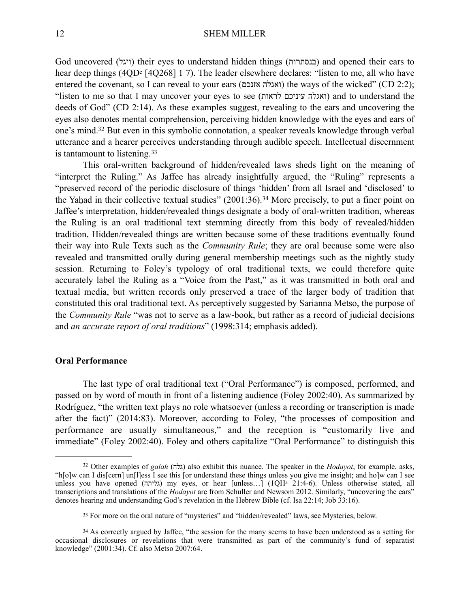God uncovered (ויגל) their eyes to understand hidden things (בנסתרות) and opened their ears to hear deep things (4QD<sup>c</sup> [4Q268] 1 7). The leader elsewhere declares: "listen to me, all who have entered the covenant, so I can reveal to your ears (ואגלה אזנכם) the ways of the wicked" (CD 2:2); "listen to me so that I may uncover your eyes to see (לראות עיניכם ואגלה (and to understand the deeds of God" (CD 2:14). As these examples suggest, revealing to the ears and uncovering the eyes also denotes mental comprehension, perceiving hidden knowledge with the eyes and ears of one's mind[.](#page-9-0)<sup>[32](#page-9-0)</sup> But even in this symbolic connotation, a speaker reveals knowledge through verbal utterance and a hearer perceives understanding through audible speech. Intellectual discernment is tantamount to listening.[33](#page-9-1)

<span id="page-9-5"></span><span id="page-9-4"></span><span id="page-9-3"></span>This oral-written background of hidden/revealed laws sheds light on the meaning of "interpret the Ruling." As Jaffee has already insightfully argued, the "Ruling" represents a "preserved record of the periodic disclosure of things 'hidden' from all Israel and 'disclosed' to theYahad in their collective textual studies"  $(2001:36).$ <sup>[34](#page-9-2)</sup> More precisely, to put a finer point on Jaffee's interpretation, hidden/revealed things designate a body of oral-written tradition, whereas the Ruling is an oral traditional text stemming directly from this body of revealed/hidden tradition. Hidden/revealed things are written because some of these traditions eventually found their way into Rule Texts such as the *Community Rule*; they are oral because some were also revealed and transmitted orally during general membership meetings such as the nightly study session. Returning to Foley's typology of oral traditional texts, we could therefore quite accurately label the Ruling as a "Voice from the Past," as it was transmitted in both oral and textual media, but written records only preserved a trace of the larger body of tradition that constituted this oral traditional text. As perceptively suggested by Sarianna Metso, the purpose of the *Community Rule* "was not to serve as a law-book, but rather as a record of judicial decisions and *an accurate report of oral traditions*" (1998:314; emphasis added).

### **Oral Performance**

The last type of oral traditional text ("Oral Performance") is composed, performed, and passed on by word of mouth in front of a listening audience (Foley 2002:40). As summarized by Rodríguez, "the written text plays no role whatsoever (unless a recording or transcription is made after the fact)" (2014:83). Moreover, according to Foley, "the processes of composition and performance are usually simultaneous," and the reception is "customarily live and immediate" (Foley 2002:40). Foley and others capitalize "Oral Performance" to distinguish this

<span id="page-9-0"></span><sup>&</sup>lt;sup>[32](#page-9-3)</sup> Other examples of *galah* (גלה) also exhibit this nuance. The speaker in the *Hodayot*, for example, asks, "h[o]w can I dis[cern] un[l]ess I see this [or understand these things unless you give me insight; and ho]w can I see unless you have opened (גליתה) my eyes, or hear [unless...] (1QHa 21:4-6). Unless otherwise stated, all transcriptions and translations of the *Hodayot* are from Schuller and Newsom 2012. Similarly, "uncovering the ears" denotes hearing and understanding God's revelation in the Hebrew Bible (cf. Isa 22:14; Job 33:16).

<span id="page-9-2"></span><span id="page-9-1"></span><sup>&</sup>lt;sup>33</sup>For more on the oral nature of "mysteries" and "hidden/revealed" laws, see Mysteries, below.

<sup>&</sup>lt;sup>34</sup>As correctly argued by Jaffee, "the session for the many seems to have been understood as a setting for occasional disclosures or revelations that were transmitted as part of the community's fund of separatist knowledge" (2001:34). Cf. also Metso 2007:64.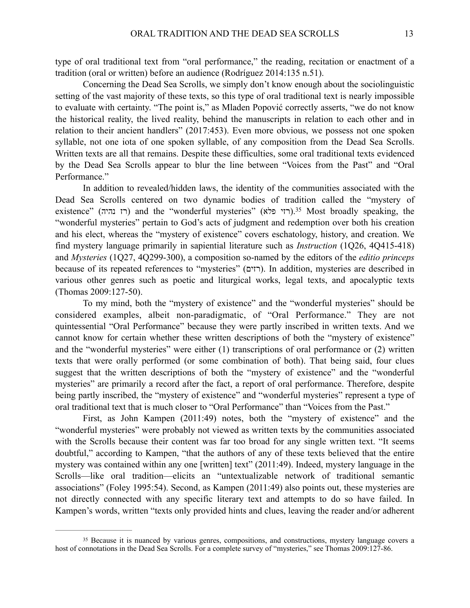type of oral traditional text from "oral performance," the reading, recitation or enactment of a tradition (oral or written) before an audience (Rodríguez 2014:135 n.51).

Concerning the Dead Sea Scrolls, we simply don't know enough about the sociolinguistic setting of the vast majority of these texts, so this type of oral traditional text is nearly impossible to evaluate with certainty. "The point is," as Mladen Popović correctly asserts, "we do not know the historical reality, the lived reality, behind the manuscripts in relation to each other and in relation to their ancient handlers" (2017:453). Even more obvious, we possess not one spoken syllable, not one iota of one spoken syllable, of any composition from the Dead Sea Scrolls. Written texts are all that remains. Despite these difficulties, some oral traditional texts evidenced by the Dead Sea Scrolls appear to blur the line between "Voices from the Past" and "Oral Performance."

<span id="page-10-1"></span>In addition to revealed/hidden laws, the identity of the communities associated with the Dead Sea Scrolls centered on two dynamic bodies of tradition called the "mystery of existence" (רז נהיה) and the "wonderful mysteries" (רזי פלא)[.](#page-10-0)<sup>35</sup> Most broadly speaking, the "wonderful mysteries" pertain to God's acts of judgment and redemption over both his creation and his elect, whereas the "mystery of existence" covers eschatology, history, and creation. We find mystery language primarily in sapiential literature such as *Instruction* (1Q26, 4Q415-418) and *Mysteries* (1Q27, 4Q299-300), a composition so-named by the editors of the *editio princeps* because of its repeated references to "mysteries" (רזים(. In addition, mysteries are described in various other genres such as poetic and liturgical works, legal texts, and apocalyptic texts (Thomas 2009:127-50).

To my mind, both the "mystery of existence" and the "wonderful mysteries" should be considered examples, albeit non-paradigmatic, of "Oral Performance." They are not quintessential "Oral Performance" because they were partly inscribed in written texts. And we cannot know for certain whether these written descriptions of both the "mystery of existence" and the "wonderful mysteries" were either (1) transcriptions of oral performance or (2) written texts that were orally performed (or some combination of both). That being said, four clues suggest that the written descriptions of both the "mystery of existence" and the "wonderful mysteries" are primarily a record after the fact, a report of oral performance. Therefore, despite being partly inscribed, the "mystery of existence" and "wonderful mysteries" represent a type of oral traditional text that is much closer to "Oral Performance" than "Voices from the Past."

First, as John Kampen (2011:49) notes, both the "mystery of existence" and the "wonderful mysteries" were probably not viewed as written texts by the communities associated with the Scrolls because their content was far too broad for any single written text. "It seems doubtful," according to Kampen, "that the authors of any of these texts believed that the entire mystery was contained within any one [written] text" (2011:49). Indeed, mystery language in the Scrolls—like oral tradition—elicits an "untextualizable network of traditional semantic associations" (Foley 1995:54). Second, as Kampen (2011:49) also points out, these mysteries are not directly connected with any specific literary text and attempts to do so have failed. In Kampen's words, written "texts only provided hints and clues, leaving the reader and/or adherent

<span id="page-10-0"></span><sup>&</sup>lt;sup>35</sup>Because it is nuanced by various genres, compositions, and constructions, mystery language covers a host of connotations in the Dead Sea Scrolls. For a complete survey of "mysteries," see Thomas 2009:127-86.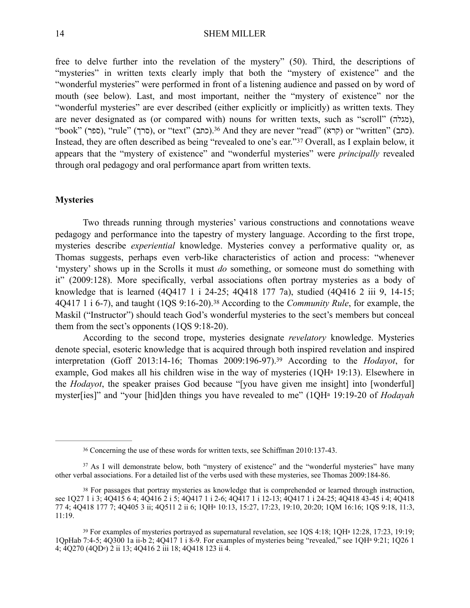<span id="page-11-4"></span>free to delve further into the revelation of the mystery" (50). Third, the descriptions of "mysteries" in written texts clearly imply that both the "mystery of existence" and the "wonderful mysteries" were performed in front of a listening audience and passed on by word of mouth (see below). Last, and most important, neither the "mystery of existence" nor the "wonderful mysteries" are ever described (either explicitly or implicitly) as written texts. They are never designated as (or compared with) nouns for written texts, such as "scroll" (מגלה), "book" (סרך), "rule" (סרך), or "text" (כתב)[.](#page-11-0)<sup>36</sup> And they are never "read" (קרא) or "written" (כתב). Instead,they are often described as being "revealed to one's ear."<sup>[37](#page-11-1)</sup> Overall, as I explain below, it appears that the "mystery of existence" and "wonderful mysteries" were *principally* revealed through oral pedagogy and oral performance apart from written texts.

## <span id="page-11-5"></span>**Mysteries**

Two threads running through mysteries' various constructions and connotations weave pedagogy and performance into the tapestry of mystery language. According to the first trope, mysteries describe *experiential* knowledge. Mysteries convey a performative quality or, as Thomas suggests, perhaps even verb-like characteristics of action and process: "whenever 'mystery' shows up in the Scrolls it must *do* something, or someone must do something with it" (2009:128). More specifically, verbal associations often portray mysteries as a body of knowledge that is learned (4Q417 1 i 24-25; 4Q418 177 7a), studied (4Q416 2 iii 9, 14-15; 4Q4171 i 6-7), and taught (1QS 9:16-20).<sup>38</sup> According to the *Community Rule*, for example, the Maskil ("Instructor") should teach God's wonderful mysteries to the sect's members but conceal them from the sect's opponents (1QS 9:18-20).

<span id="page-11-6"></span>According to the second trope, mysteries designate *revelatory* knowledge. Mysteries denote special, esoteric knowledge that is acquired through both inspired revelation and inspired interpretation (Goff 2013:14-16; Thomas 2009:196-97)[.](#page-11-3)<sup>39</sup> According to the *Hodayot*, for example, God makes all his children wise in the way of mysteries (1QHa 19:13). Elsewhere in the *Hodayot*, the speaker praises God because "[you have given me insight] into [wonderful] myster[ies]" and "your [hid]den things you have revealed to me" (1QHa 19:19-20 of *Hodayah*

<span id="page-11-7"></span><span id="page-11-1"></span><span id="page-11-0"></span>Concerning the use of these words for written texts, see Schiffman 2010:137-43. [36](#page-11-4)

<sup>&</sup>lt;sup>37</sup>As I will demonstrate below, both "mystery of existence" and the "wonderful mysteries" have many other verbal associations. For a detailed list of the verbs used with these mysteries, see Thomas 2009:184-86.

<span id="page-11-2"></span><sup>&</sup>lt;sup>38</sup>For passages that portray mysteries as knowledge that is comprehended or learned through instruction, see 1Q27 1 i 3; 4Q415 6 4; 4Q416 2 i 5; 4Q417 1 i 2-6; 4Q417 1 i 12-13; 4Q417 1 i 24-25; 4Q418 43-45 i 4; 4Q418 77 4; 4Q418 177 7; 4Q405 3 ii; 4Q511 2 ii 6; 1QHa 10:13, 15:27, 17:23, 19:10, 20:20; 1QM 16:16; 1QS 9:18, 11:3, 11:19.

<span id="page-11-3"></span><sup>&</sup>lt;sup>39</sup>For examples of mysteries portrayed as supernatural revelation, see 1QS 4:18; 1QH<sup>a</sup> 12:28, 17:23, 19:19; 1QpHab 7:4-5; 4Q300 1a ii-b 2; 4Q417 1 i 8-9. For examples of mysteries being "revealed," see 1QHa 9:21; 1Q26 1 4; 4Q270 (4QDe) 2 ii 13; 4Q416 2 iii 18; 4Q418 123 ii 4.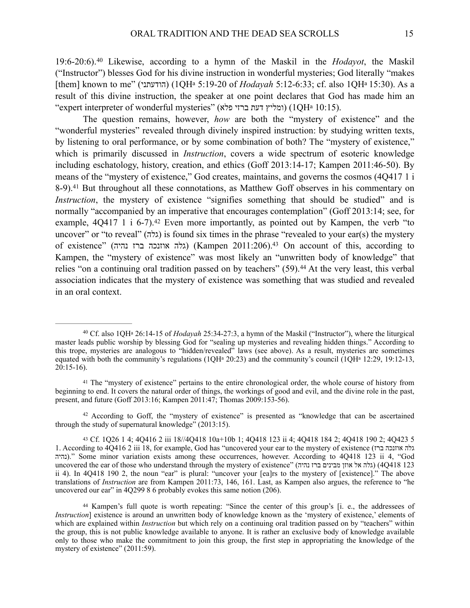<span id="page-12-5"></span>19:6-20:6).<sup>40</sup>Likewise, according to a hymn of the Maskil in the *Hodayot*, the Maskil ("Instructor") blesses God for his divine instruction in wonderful mysteries; God literally "makes [them] known to me" (הודעתני) (1QHa 5:19-20 of *Hodayah* 5:12-6:33; cf. also 1QHa 15:30). As a result of this divine instruction, the speaker at one point declares that God has made him an "expert interpreter of wonderful mysteries" (פלא ברזי דעת ומליץ) (1QHa 10:15).

<span id="page-12-7"></span><span id="page-12-6"></span>The question remains, however, *how* are both the "mystery of existence" and the "wonderful mysteries" revealed through divinely inspired instruction: by studying written texts, by listening to oral performance, or by some combination of both? The "mystery of existence," which is primarily discussed in *Instruction*, covers a wide spectrum of esoteric knowledge including eschatology, history, creation, and ethics (Goff 2013:14-17; Kampen 2011:46-50). By means of the "mystery of existence," God creates, maintains, and governs the cosmos (4Q417 1 i 8-9).<sup>41</sup>But throughout all these connotations, as Matthew Goff observes in his commentary on *Instruction*, the mystery of existence "signifies something that should be studied" and is normally "accompanied by an imperative that encourages contemplation" (Goff 2013:14; see, for example, $4Q417 \; 1 \; i \; 6-7$ . <sup>[42](#page-12-2)</sup> Even more importantly, as pointed out by Kampen, the verb "to" uncover" or "to reveal" (גלה) is found six times in the phrase "revealed to your ear(s) the mystery of existence" (נהיה ברז אוזנכה גלה) (Kampen 2011:206)[.43](#page-12-3) On account of this, according to Kampen, the "mystery of existence" was most likely an "unwritten body of knowledge" that relies"on a continuing oral tradition passed on by teachers"  $(59)$ .<sup>[44](#page-12-4)</sup> At the very least, this verbal association indicates that the mystery of existence was something that was studied and revealed in an oral context.

<span id="page-12-9"></span><span id="page-12-8"></span><span id="page-12-0"></span><sup>&</sup>lt;sup>[40](#page-12-5)</sup> Cf. also 1QH<sup>a</sup> 26:14-15 of *Hodayah* 25:34-27:3, a hymn of the Maskil ("Instructor"), where the liturgical master leads public worship by blessing God for "sealing up mysteries and revealing hidden things." According to this trope, mysteries are analogous to "hidden/revealed" laws (see above). As a result, mysteries are sometimes equated with both the community's regulations ( $1QH<sup>a</sup> 20:23$ ) and the community's council ( $1QH<sup>a</sup> 12:29$ ,  $19:12-13$ , 20:15-16).

<span id="page-12-1"></span><sup>&</sup>lt;sup>41</sup>The "mystery of existence" pertains to the entire chronological order, the whole course of history from beginning to end. It covers the natural order of things, the workings of good and evil, and the divine role in the past, present, and future (Goff 2013:16; Kampen 2011:47; Thomas 2009:153-56).

<span id="page-12-2"></span><sup>&</sup>lt;sup>42</sup>According to Goff, the "mystery of existence" is presented as "knowledge that can be ascertained through the study of supernatural knowledge" (2013:15).

<span id="page-12-3"></span><sup>43</sup>Cf. 1Q26 1 4; 4Q416 2 iii 18//4Q418 10a+10b 1; 4Q418 123 ii 4; 4Q418 184 2; 4Q418 190 2; 4Q423 5 1. According to 4Q416 2 iii 18, for example, God has "uncovered your ear to the mystery of existence (גלה אוזנכה נהיה(. "Some minor variation exists among these occurrences, however. According to 4Q418 123 ii 4, "God uncovered the ear of those who understand through the mystery of existence" (נהיה ברז מבינים אוזן אל גלה) (4Q418 123 ii 4). In 4Q418 190 2, the noun "ear" is plural: "uncover your [ea]rs to the mystery of [existence]." The above translations of *Instruction* are from Kampen 2011:73, 146, 161. Last, as Kampen also argues, the reference to "he uncovered our ear" in 4Q299 8 6 probably evokes this same notion (206).

<span id="page-12-4"></span><sup>44</sup>Kampen's full quote is worth repeating: "Since the center of this group's [i. e., the addressees of *Instruction*] existence is around an unwritten body of knowledge known as the 'mystery of existence,' elements of which are explained within *Instruction* but which rely on a continuing oral tradition passed on by "teachers" within the group, this is not public knowledge available to anyone. It is rather an exclusive body of knowledge available only to those who make the commitment to join this group, the first step in appropriating the knowledge of the mystery of existence" (2011:59).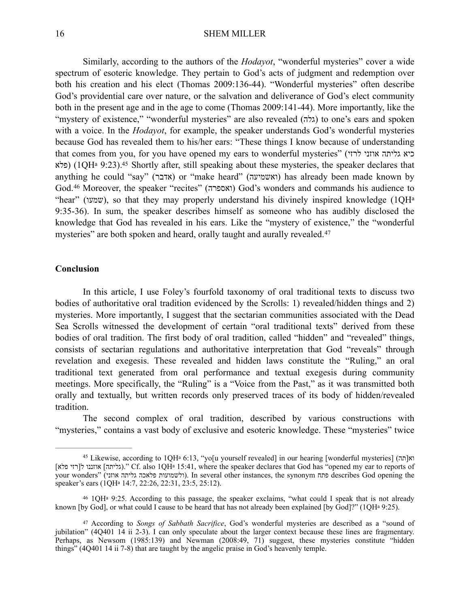<span id="page-13-3"></span>Similarly, according to the authors of the *Hodayot*, "wonderful mysteries" cover a wide spectrum of esoteric knowledge. They pertain to God's acts of judgment and redemption over both his creation and his elect (Thomas 2009:136-44). "Wonderful mysteries" often describe God's providential care over nature, or the salvation and deliverance of God's elect community both in the present age and in the age to come (Thomas 2009:141-44). More importantly, like the "thystery of existence," "wonderful mysteries" are also revealed (גלה) to one's ears and spoken with a voice. In the *Hodayot*, for example, the speaker understands God's wonderful mysteries because God has revealed them to his/her ears: "These things I know because of understanding that comes from you, for you have opened my ears to wonderful mysteries" (ליחה אוזני  $\zeta$ רזי פלא) (1QHa 9:23)[.](#page-13-0)<sup>45</sup> Shortly after, still speaking about these mysteries, the speaker declares that anything he could "say" (אדבר) or "make heard" (ואשמיעה) has already been made known by God.[46](#page-13-1) Moreover, the speaker "recites" (ואספרה (God's wonders and commands his audience to "hear" (שמעו), so that they may properly understand his divinely inspired knowledge (1QHa 9:35-36). In sum, the speaker describes himself as someone who has audibly disclosed the knowledge that God has revealed in his ears. Like the "mystery of existence," the "wonderful mysteries" are both spoken and heard, orally taught and aurally revealed.<sup>[47](#page-13-2)</sup>

#### <span id="page-13-5"></span><span id="page-13-4"></span>**Conclusion**

In this article, I use Foley's fourfold taxonomy of oral traditional texts to discuss two bodies of authoritative oral tradition evidenced by the Scrolls: 1) revealed/hidden things and 2) mysteries. More importantly, I suggest that the sectarian communities associated with the Dead Sea Scrolls witnessed the development of certain "oral traditional texts" derived from these bodies of oral tradition. The first body of oral tradition, called "hidden" and "revealed" things, consists of sectarian regulations and authoritative interpretation that God "reveals" through revelation and exegesis. These revealed and hidden laws constitute the "Ruling," an oral traditional text generated from oral performance and textual exegesis during community meetings. More specifically, the "Ruling" is a "Voice from the Past," as it was transmitted both orally and textually, but written records only preserved traces of its body of hidden/revealed tradition.

The second complex of oral tradition, described by various constructions with "mysteries," contains a vast body of exclusive and esoteric knowledge. These "mysteries" twice

<span id="page-13-0"></span><sup>&</sup>lt;sup>[45](#page-13-3)</sup> Likewise, according to 1QH<sup>a</sup> 6:13, "yo[u yourself revealed] in our hearing [wonderful mysteries] (תהן 45 [כליתה] אוזננו ל[רזי פלא].'' Cf. also 1QHa 15:41, where the speaker declares that God has "opened my ear to reports of your wonders" (ולשמועות פלאכה גליתה אוזני). In several other instances, the synonym פתח describes God opening the speaker's ears (1QHa 14:7, 22:26, 22:31, 23:5, 25:12).

<span id="page-13-1"></span>1QHa 9:25. According to this passage, the speaker exclaims, "what could I speak that is not already [46](#page-13-4) known [by God], or what could I cause to be heard that has not already been explained [by God]?" (1QH<sup>a</sup> 9:25).

<span id="page-13-2"></span><sup>&</sup>lt;sup>[47](#page-13-5)</sup> According to *Songs of Sabbath Sacrifice*, God's wonderful mysteries are described as a "sound of jubilation" (4Q401 14 ii 2-3). I can only speculate about the larger context because these lines are fragmentary. Perhaps, as Newsom (1985:139) and Newman (2008:49, 71) suggest, these mysteries constitute "hidden things" (4Q401 14 ii 7-8) that are taught by the angelic praise in God's heavenly temple.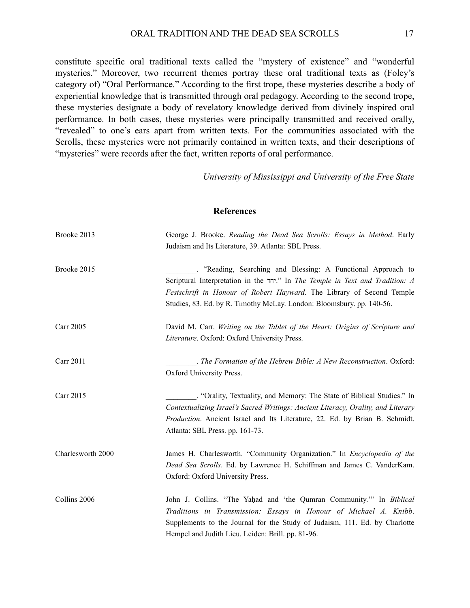constitute specific oral traditional texts called the "mystery of existence" and "wonderful mysteries." Moreover, two recurrent themes portray these oral traditional texts as (Foley's category of) "Oral Performance." According to the first trope, these mysteries describe a body of experiential knowledge that is transmitted through oral pedagogy. According to the second trope, these mysteries designate a body of revelatory knowledge derived from divinely inspired oral performance. In both cases, these mysteries were principally transmitted and received orally, "revealed" to one's ears apart from written texts. For the communities associated with the Scrolls, these mysteries were not primarily contained in written texts, and their descriptions of "mysteries" were records after the fact, written reports of oral performance.

*University of Mississippi and University of the Free State* 

### **References**

| Brooke 2013       | George J. Brooke. Reading the Dead Sea Scrolls: Essays in Method. Early<br>Judaism and Its Literature, 39. Atlanta: SBL Press.                                                                                                                                                                |
|-------------------|-----------------------------------------------------------------------------------------------------------------------------------------------------------------------------------------------------------------------------------------------------------------------------------------------|
| Brooke 2015       | "Reading, Searching and Blessing: A Functional Approach to<br>Scriptural Interpretation in the "יחד" In The Temple in Text and Tradition: A<br>Festschrift in Honour of Robert Hayward. The Library of Second Temple<br>Studies, 83. Ed. by R. Timothy McLay. London: Bloomsbury. pp. 140-56. |
| <b>Carr 2005</b>  | David M. Carr. Writing on the Tablet of the Heart: Origins of Scripture and<br>Literature. Oxford: Oxford University Press.                                                                                                                                                                   |
| Carr 2011         | $\therefore$ The Formation of the Hebrew Bible: A New Reconstruction. Oxford:<br>Oxford University Press.                                                                                                                                                                                     |
| Carr 2015         | . "Orality, Textuality, and Memory: The State of Biblical Studies." In<br>Contextualizing Israel's Sacred Writings: Ancient Literacy, Orality, and Literary<br>Production. Ancient Israel and Its Literature, 22. Ed. by Brian B. Schmidt.<br>Atlanta: SBL Press. pp. 161-73.                 |
| Charlesworth 2000 | James H. Charlesworth. "Community Organization." In Encyclopedia of the<br>Dead Sea Scrolls. Ed. by Lawrence H. Schiffman and James C. VanderKam.<br>Oxford: Oxford University Press.                                                                                                         |
| Collins 2006      | John J. Collins. "The Yaḥad and 'the Qumran Community." In Biblical<br>Traditions in Transmission: Essays in Honour of Michael A. Knibb.<br>Supplements to the Journal for the Study of Judaism, 111. Ed. by Charlotte<br>Hempel and Judith Lieu. Leiden: Brill. pp. 81-96.                   |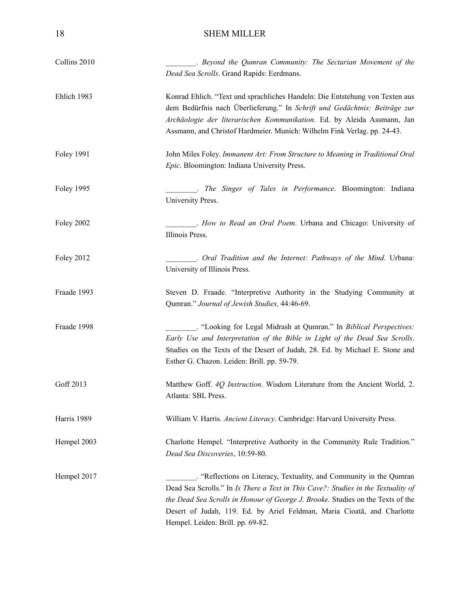| Collins 2010      | . Beyond the Qumran Community: The Sectarian Movement of the<br>Dead Sea Scrolls. Grand Rapids: Eerdmans.                                                                                                                                                                                                                                                   |
|-------------------|-------------------------------------------------------------------------------------------------------------------------------------------------------------------------------------------------------------------------------------------------------------------------------------------------------------------------------------------------------------|
| Ehlich 1983       | Konrad Ehlich. "Text und sprachliches Handeln: Die Entstehung von Texten aus<br>dem Bedürfnis nach Überlieferung." In Schrift und Gedächtnis: Beiträge zur<br>Archäologie der literarischen Kommunikation. Ed. by Aleida Assmann, Jan<br>Assmann, and Christof Hardmeier. Munich: Wilhelm Fink Verlag. pp. 24-43.                                           |
| <b>Foley 1991</b> | John Miles Foley. Immanent Art: From Structure to Meaning in Traditional Oral<br>Epic. Bloomington: Indiana University Press.                                                                                                                                                                                                                               |
| <b>Foley 1995</b> | . The Singer of Tales in Performance. Bloomington: Indiana<br>University Press.                                                                                                                                                                                                                                                                             |
| <b>Foley 2002</b> | . How to Read an Oral Poem. Urbana and Chicago: University of<br>Illinois Press.                                                                                                                                                                                                                                                                            |
| <b>Foley 2012</b> | . Oral Tradition and the Internet: Pathways of the Mind. Urbana:<br>University of Illinois Press.                                                                                                                                                                                                                                                           |
| Fraade 1993       | Steven D. Fraade. "Interpretive Authority in the Studying Community at<br>Qumran." Journal of Jewish Studies, 44:46-69.                                                                                                                                                                                                                                     |
| Fraade 1998       | . "Looking for Legal Midrash at Qumran." In Biblical Perspectives:<br>Early Use and Interpretation of the Bible in Light of the Dead Sea Scrolls.<br>Studies on the Texts of the Desert of Judah, 28. Ed. by Michael E. Stone and<br>Esther G. Chazon. Leiden: Brill. pp. 59-79.                                                                            |
| Goff 2013         | Matthew Goff. 4Q Instruction. Wisdom Literature from the Ancient World, 2.<br>Atlanta: SBL Press.                                                                                                                                                                                                                                                           |
| Harris 1989       | William V. Harris. Ancient Literacy. Cambridge: Harvard University Press.                                                                                                                                                                                                                                                                                   |
| Hempel 2003       | Charlotte Hempel. "Interpretive Authority in the Community Rule Tradition."<br>Dead Sea Discoveries, 10:59-80.                                                                                                                                                                                                                                              |
| Hempel 2017       | . "Reflections on Literacy, Textuality, and Community in the Qumran<br>Dead Sea Scrolls." In Is There a Text in This Cave?: Studies in the Textuality of<br>the Dead Sea Scrolls in Honour of George J. Brooke. Studies on the Texts of the<br>Desert of Judah, 119. Ed. by Ariel Feldman, Maria Cioată, and Charlotte<br>Hempel. Leiden: Brill. pp. 69-82. |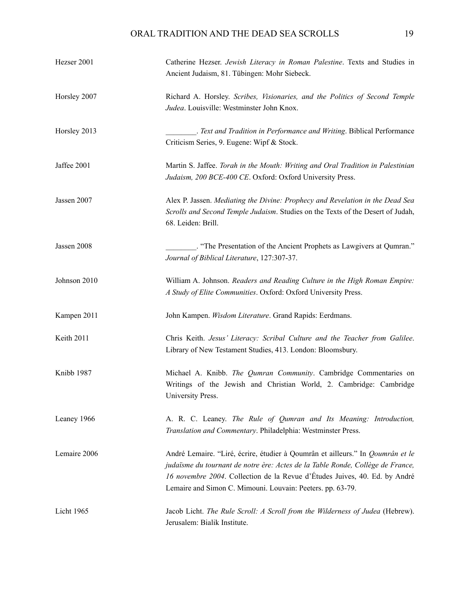# ORAL TRADITION AND THE DEAD SEA SCROLLS 19

| Hezser 2001  | Catherine Hezser. Jewish Literacy in Roman Palestine. Texts and Studies in<br>Ancient Judaism, 81. Tübingen: Mohr Siebeck.                                                                                                                                                                                   |
|--------------|--------------------------------------------------------------------------------------------------------------------------------------------------------------------------------------------------------------------------------------------------------------------------------------------------------------|
| Horsley 2007 | Richard A. Horsley. Scribes, Visionaries, and the Politics of Second Temple<br>Judea. Louisville: Westminster John Knox.                                                                                                                                                                                     |
| Horsley 2013 | _. Text and Tradition in Performance and Writing. Biblical Performance<br>Criticism Series, 9. Eugene: Wipf & Stock.                                                                                                                                                                                         |
| Jaffee 2001  | Martin S. Jaffee. Torah in the Mouth: Writing and Oral Tradition in Palestinian<br>Judaism, 200 BCE-400 CE. Oxford: Oxford University Press.                                                                                                                                                                 |
| Jassen 2007  | Alex P. Jassen. Mediating the Divine: Prophecy and Revelation in the Dead Sea<br>Scrolls and Second Temple Judaism. Studies on the Texts of the Desert of Judah,<br>68. Leiden: Brill.                                                                                                                       |
| Jassen 2008  | "The Presentation of the Ancient Prophets as Lawgivers at Qumran."<br>Journal of Biblical Literature, 127:307-37.                                                                                                                                                                                            |
| Johnson 2010 | William A. Johnson. Readers and Reading Culture in the High Roman Empire:<br>A Study of Elite Communities. Oxford: Oxford University Press.                                                                                                                                                                  |
| Kampen 2011  | John Kampen. Wisdom Literature. Grand Rapids: Eerdmans.                                                                                                                                                                                                                                                      |
| Keith 2011   | Chris Keith. Jesus' Literacy: Scribal Culture and the Teacher from Galilee.<br>Library of New Testament Studies, 413. London: Bloomsbury.                                                                                                                                                                    |
| Knibb 1987   | Michael A. Knibb. The Qumran Community. Cambridge Commentaries on<br>Writings of the Jewish and Christian World, 2. Cambridge: Cambridge<br>University Press.                                                                                                                                                |
| Leaney 1966  | A. R. C. Leaney. The Rule of Qumran and Its Meaning: Introduction,<br>Translation and Commentary. Philadelphia: Westminster Press.                                                                                                                                                                           |
| Lemaire 2006 | André Lemaire. "Liré, écrire, étudier à Qoumrân et ailleurs." In Qoumrân et le<br>judaïsme du tournant de notre ère: Actes de la Table Ronde, Collège de France,<br>16 novembre 2004. Collection de la Revue d'Études Juives, 40. Ed. by André<br>Lemaire and Simon C. Mimouni. Louvain: Peeters. pp. 63-79. |
| Licht 1965   | Jacob Licht. The Rule Scroll: A Scroll from the Wilderness of Judea (Hebrew).<br>Jerusalem: Bialik Institute.                                                                                                                                                                                                |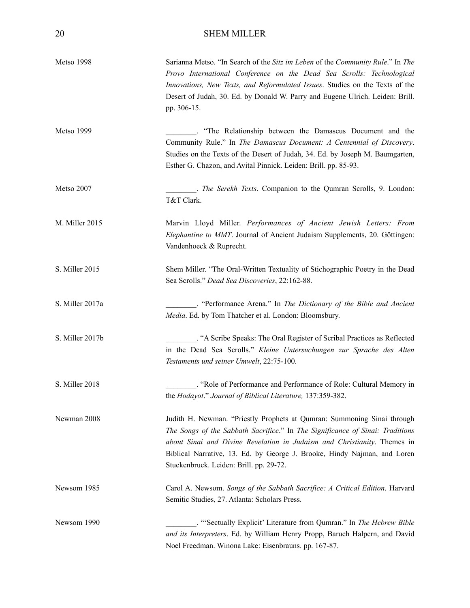| Metso 1998      | Sarianna Metso. "In Search of the Sitz im Leben of the Community Rule." In The<br>Provo International Conference on the Dead Sea Scrolls: Technological<br>Innovations, New Texts, and Reformulated Issues. Studies on the Texts of the<br>Desert of Judah, 30. Ed. by Donald W. Parry and Eugene Ulrich. Leiden: Brill.<br>pp. 306-15.                     |
|-----------------|-------------------------------------------------------------------------------------------------------------------------------------------------------------------------------------------------------------------------------------------------------------------------------------------------------------------------------------------------------------|
| Metso 1999      | . "The Relationship between the Damascus Document and the<br>Community Rule." In The Damascus Document: A Centennial of Discovery.<br>Studies on the Texts of the Desert of Judah, 34. Ed. by Joseph M. Baumgarten,<br>Esther G. Chazon, and Avital Pinnick. Leiden: Brill. pp. 85-93.                                                                      |
| Metso 2007      | . The Serekh Texts. Companion to the Qumran Scrolls, 9. London:<br>T&T Clark.                                                                                                                                                                                                                                                                               |
| M. Miller 2015  | Marvin Lloyd Miller. Performances of Ancient Jewish Letters: From<br>Elephantine to MMT. Journal of Ancient Judaism Supplements, 20. Göttingen:<br>Vandenhoeck & Ruprecht.                                                                                                                                                                                  |
| S. Miller 2015  | Shem Miller. "The Oral-Written Textuality of Stichographic Poetry in the Dead<br>Sea Scrolls." Dead Sea Discoveries, 22:162-88.                                                                                                                                                                                                                             |
| S. Miller 2017a | "Performance Arena." In The Dictionary of the Bible and Ancient<br>Media. Ed. by Tom Thatcher et al. London: Bloomsbury.                                                                                                                                                                                                                                    |
| S. Miller 2017b | "A Scribe Speaks: The Oral Register of Scribal Practices as Reflected<br>in the Dead Sea Scrolls." Kleine Untersuchungen zur Sprache des Alten<br>Testaments und seiner Umwelt, 22:75-100.                                                                                                                                                                  |
| S. Miller 2018  | . "Role of Performance and Performance of Role: Cultural Memory in<br>the Hodayot." Journal of Biblical Literature, 137:359-382.                                                                                                                                                                                                                            |
| Newman 2008     | Judith H. Newman. "Priestly Prophets at Qumran: Summoning Sinai through<br>The Songs of the Sabbath Sacrifice." In The Significance of Sinai: Traditions<br>about Sinai and Divine Revelation in Judaism and Christianity. Themes in<br>Biblical Narrative, 13. Ed. by George J. Brooke, Hindy Najman, and Loren<br>Stuckenbruck. Leiden: Brill. pp. 29-72. |
| Newsom 1985     | Carol A. Newsom. Songs of the Sabbath Sacrifice: A Critical Edition. Harvard<br>Semitic Studies, 27. Atlanta: Scholars Press.                                                                                                                                                                                                                               |
| Newsom 1990     | . "Sectually Explicit' Literature from Qumran." In The Hebrew Bible<br>and its Interpreters. Ed. by William Henry Propp, Baruch Halpern, and David<br>Noel Freedman. Winona Lake: Eisenbrauns. pp. 167-87.                                                                                                                                                  |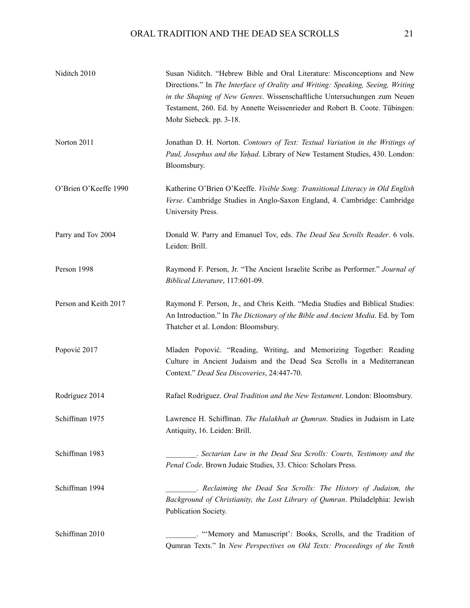| Niditch 2010          | Susan Niditch. "Hebrew Bible and Oral Literature: Misconceptions and New<br>Directions." In The Interface of Orality and Writing: Speaking, Seeing, Writing<br>in the Shaping of New Genres. Wissenschaftliche Untersuchungen zum Neuen<br>Testament, 260. Ed. by Annette Weissenrieder and Robert B. Coote. Tübingen:<br>Mohr Siebeck. pp. 3-18. |
|-----------------------|---------------------------------------------------------------------------------------------------------------------------------------------------------------------------------------------------------------------------------------------------------------------------------------------------------------------------------------------------|
| Norton 2011           | Jonathan D. H. Norton. Contours of Text: Textual Variation in the Writings of<br>Paul, Josephus and the Yaḥad. Library of New Testament Studies, 430. London:<br>Bloomsbury.                                                                                                                                                                      |
| O'Brien O'Keeffe 1990 | Katherine O'Brien O'Keeffe. Visible Song: Transitional Literacy in Old English<br>Verse. Cambridge Studies in Anglo-Saxon England, 4. Cambridge: Cambridge<br>University Press.                                                                                                                                                                   |
| Parry and Tov 2004    | Donald W. Parry and Emanuel Tov, eds. The Dead Sea Scrolls Reader. 6 vols.<br>Leiden: Brill.                                                                                                                                                                                                                                                      |
| Person 1998           | Raymond F. Person, Jr. "The Ancient Israelite Scribe as Performer." Journal of<br>Biblical Literature, 117:601-09.                                                                                                                                                                                                                                |
| Person and Keith 2017 | Raymond F. Person, Jr., and Chris Keith. "Media Studies and Biblical Studies:<br>An Introduction." In The Dictionary of the Bible and Ancient Media. Ed. by Tom<br>Thatcher et al. London: Bloomsbury.                                                                                                                                            |
| Popović 2017          | Mladen Popović. "Reading, Writing, and Memorizing Together: Reading<br>Culture in Ancient Judaism and the Dead Sea Scrolls in a Mediterranean<br>Context." Dead Sea Discoveries, 24:447-70.                                                                                                                                                       |
| Rodríguez 2014        | Rafael Rodríguez. Oral Tradition and the New Testament. London: Bloomsbury.                                                                                                                                                                                                                                                                       |
| Schiffman 1975        | Lawrence H. Schiffman. The Halakhah at Qumran. Studies in Judaism in Late<br>Antiquity, 16. Leiden: Brill.                                                                                                                                                                                                                                        |
| Schiffman 1983        | Sectarian Law in the Dead Sea Scrolls: Courts, Testimony and the<br>Penal Code. Brown Judaic Studies, 33. Chico: Scholars Press.                                                                                                                                                                                                                  |
| Schiffman 1994        | . Reclaiming the Dead Sea Scrolls: The History of Judaism, the<br>Background of Christianity, the Lost Library of Qumran. Philadelphia: Jewish<br>Publication Society.                                                                                                                                                                            |
| Schiffman 2010        | "Memory and Manuscript': Books, Scrolls, and the Tradition of<br>Qumran Texts." In New Perspectives on Old Texts: Proceedings of the Tenth                                                                                                                                                                                                        |